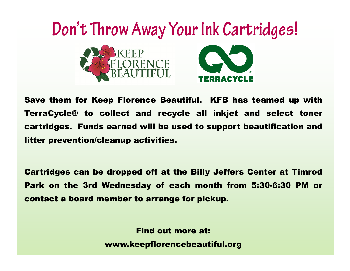

Save them for Keep Florence Beautiful. KFB has teamed up with TerraCycle® to collect and recycle all inkjet and select toner cartridges. Funds earned will be used to support beautification and litter prevention/cleanup activities.

Cartridges can be dropped off at the Billy Jeffers Center at Timrod Park on the 3rd Wednesday of each month from 5:30-6:30 PM or contact a board member to arrange for pickup.

Find out more at:

www.keepflorencebeautiful.org